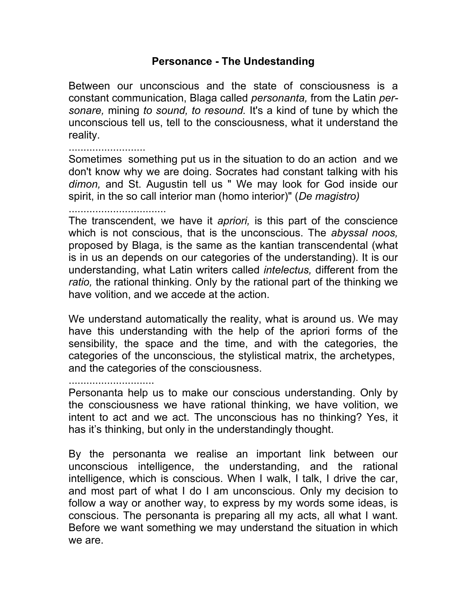## **Personance - The Undestanding**

Between our unconscious and the state of consciousness is a constant communication, Blaga called *personanta,* from the Latin *personare,* mining *to sound, to resound.* It's a kind of tune by which the unconscious tell us, tell to the consciousness, what it understand the reality.

Sometimes something put us in the situation to do an action and we don't know why we are doing. Socrates had constant talking with his *dimon,* and St. Augustin tell us " We may look for God inside our spirit, in the so call interior man (homo interior)" (*De magistro)* 

.................................

..........................

The transcendent, we have it *apriori,* is this part of the conscience which is not conscious, that is the unconscious. The *abyssal noos,* proposed by Blaga, is the same as the kantian transcendental (what is in us an depends on our categories of the understanding). It is our understanding, what Latin writers called *intelectus,* different from the *ratio,* the rational thinking. Only by the rational part of the thinking we have volition, and we accede at the action.

We understand automatically the reality, what is around us. We may have this understanding with the help of the apriori forms of the sensibility, the space and the time, and with the categories, the categories of the unconscious, the stylistical matrix, the archetypes, and the categories of the consciousness.

.............................

Personanta help us to make our conscious understanding. Only by the consciousness we have rational thinking, we have volition, we intent to act and we act. The unconscious has no thinking? Yes, it has it's thinking, but only in the understandingly thought.

By the personanta we realise an important link between our unconscious intelligence, the understanding, and the rational intelligence, which is conscious. When I walk, I talk, I drive the car, and most part of what I do I am unconscious. Only my decision to follow a way or another way, to express by my words some ideas, is conscious. The personanta is preparing all my acts, all what I want. Before we want something we may understand the situation in which we are.